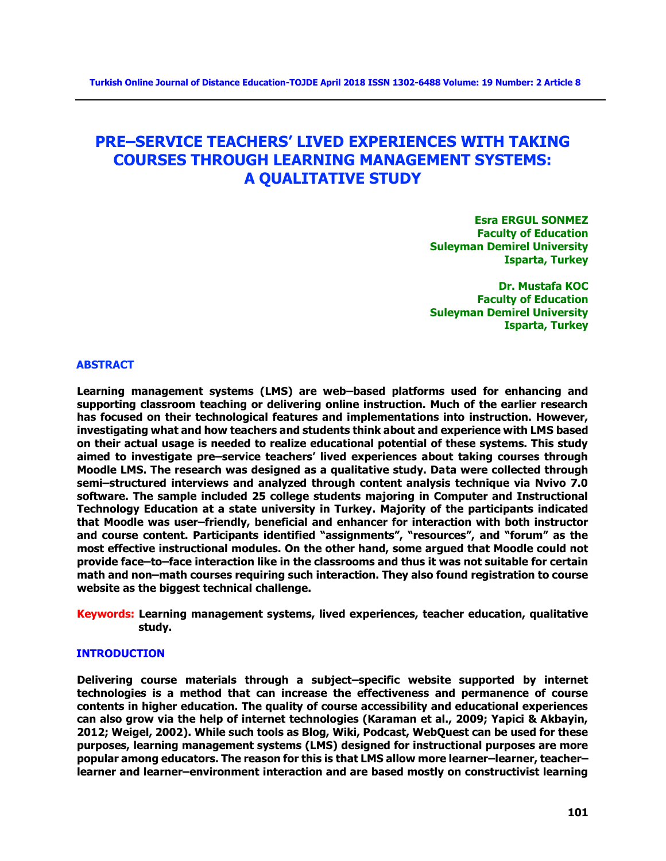# **PRE–SERVICE TEACHERS' LIVED EXPERIENCES WITH TAKING COURSES THROUGH LEARNING MANAGEMENT SYSTEMS: A QUALITATIVE STUDY**

**Esra ERGUL SONMEZ Faculty of Education Suleyman Demirel University Isparta, Turkey**

**Dr. Mustafa KOC Faculty of Education Suleyman Demirel University Isparta, Turkey**

#### **ABSTRACT**

**Learning management systems (LMS) are web–based platforms used for enhancing and supporting classroom teaching or delivering online instruction. Much of the earlier research has focused on their technological features and implementations into instruction. However, investigating what and how teachers and students think about and experience with LMS based on their actual usage is needed to realize educational potential of these systems. This study aimed to investigate pre–service teachers' lived experiences about taking courses through Moodle LMS. The research was designed as a qualitative study. Data were collected through semi–structured interviews and analyzed through content analysis technique via Nvivo 7.0 software. The sample included 25 college students majoring in Computer and Instructional Technology Education at a state university in Turkey. Majority of the participants indicated that Moodle was user–friendly, beneficial and enhancer for interaction with both instructor and course content. Participants identified "assignments", "resources", and "forum" as the most effective instructional modules. On the other hand, some argued that Moodle could not provide face–to–face interaction like in the classrooms and thus it was not suitable for certain math and non–math courses requiring such interaction. They also found registration to course website as the biggest technical challenge.**

**Keywords: Learning management systems, lived experiences, teacher education, qualitative study.**

#### **INTRODUCTION**

**Delivering course materials through a subject–specific website supported by internet technologies is a method that can increase the effectiveness and permanence of course contents in higher education. The quality of course accessibility and educational experiences can also grow via the help of internet technologies (Karaman et al., 2009; Yapici & Akbayin, 2012; Weigel, 2002). While such tools as Blog, Wiki, Podcast, WebQuest can be used for these purposes, learning management systems (LMS) designed for instructional purposes are more popular among educators. The reason for this is that LMS allow more learner–learner, teacher– learner and learner–environment interaction and are based mostly on constructivist learning**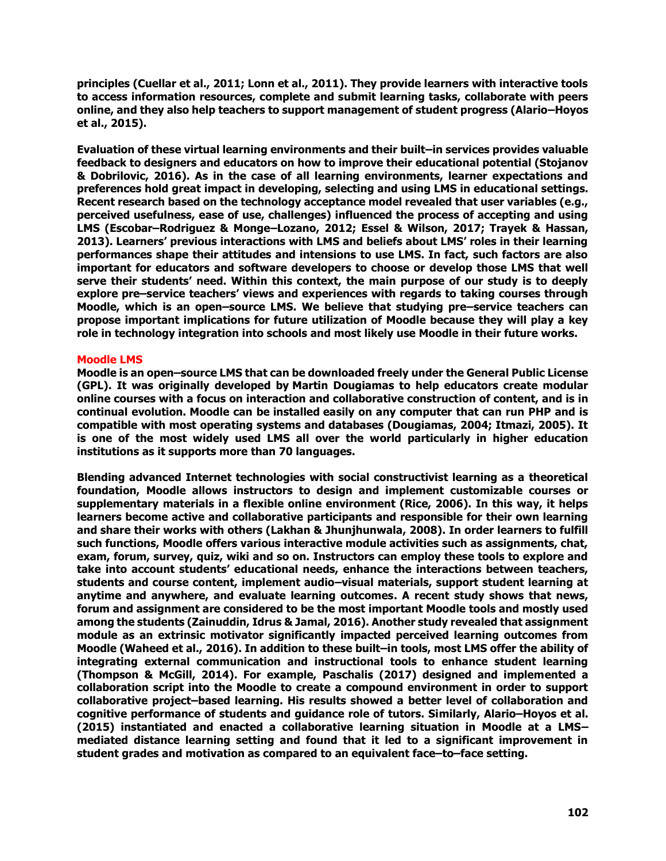**principles (Cuellar et al., 2011; Lonn et al., 2011). They provide learners with interactive tools to access information resources, complete and submit learning tasks, collaborate with peers online, and they also help teachers to support management of student progress (Alario–Hoyos et al., 2015).**

**Evaluation of these virtual learning environments and their built–in services provides valuable feedback to designers and educators on how to improve their educational potential (Stojanov & Dobrilovic, 2016). As in the case of all learning environments, learner expectations and preferences hold great impact in developing, selecting and using LMS in educational settings. Recent research based on the technology acceptance model revealed that user variables (e.g., perceived usefulness, ease of use, challenges) influenced the process of accepting and using LMS (Escobar–Rodriguez & Monge–Lozano, 2012; Essel & Wilson, 2017; Trayek & Hassan, 2013). Learners' previous interactions with LMS and beliefs about LMS' roles in their learning performances shape their attitudes and intensions to use LMS. In fact, such factors are also important for educators and software developers to choose or develop those LMS that well serve their students' need. Within this context, the main purpose of our study is to deeply explore pre–service teachers' views and experiences with regards to taking courses through Moodle, which is an open–source LMS. We believe that studying pre–service teachers can propose important implications for future utilization of Moodle because they will play a key role in technology integration into schools and most likely use Moodle in their future works.**

# **Moodle LMS**

**Moodle is an open–source LMS that can be downloaded freely under the General Public License (GPL). It was originally developed by Martin Dougiamas to help educators create modular online courses with a focus on interaction and collaborative construction of content, and is in continual evolution. Moodle can be installed easily on any computer that can run PHP and is compatible with most operating systems and databases (Dougiamas, 2004; Itmazi, 2005). It is one of the most widely used LMS all over the world particularly in higher education institutions as it supports more than 70 languages.**

**Blending advanced Internet technologies with social constructivist learning as a theoretical foundation, Moodle allows instructors to design and implement customizable courses or supplementary materials in a flexible online environment (Rice, 2006). In this way, it helps learners become active and collaborative participants and responsible for their own learning and share their works with others (Lakhan & Jhunjhunwala, 2008). In order learners to fulfill such functions, Moodle offers various interactive module activities such as assignments, chat, exam, forum, survey, quiz, wiki and so on. Instructors can employ these tools to explore and take into account students' educational needs, enhance the interactions between teachers, students and course content, implement audio–visual materials, support student learning at anytime and anywhere, and evaluate learning outcomes. A recent study shows that news, forum and assignment are considered to be the most important Moodle tools and mostly used among the students (Zainuddin, Idrus & Jamal, 2016). Another study revealed that assignment module as an extrinsic motivator significantly impacted perceived learning outcomes from Moodle (Waheed et al., 2016). In addition to these built–in tools, most LMS offer the ability of integrating external communication and instructional tools to enhance student learning (Thompson & McGill, 2014). For example, Paschalis (2017) designed and implemented a collaboration script into the Moodle to create a compound environment in order to support collaborative project–based learning. His results showed a better level of collaboration and cognitive performance of students and guidance role of tutors. Similarly, Alario–Hoyos et al. (2015) instantiated and enacted a collaborative learning situation in Moodle at a LMS– mediated distance learning setting and found that it led to a significant improvement in student grades and motivation as compared to an equivalent face–to–face setting.**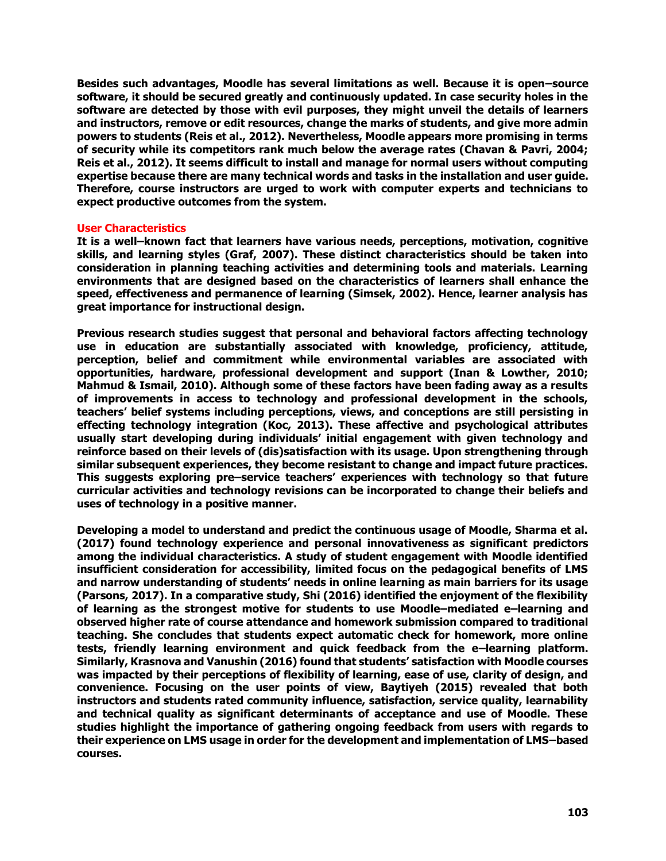**Besides such advantages, Moodle has several limitations as well. Because it is open–source software, it should be secured greatly and continuously updated. In case security holes in the software are detected by those with evil purposes, they might unveil the details of learners and instructors, remove or edit resources, change the marks of students, and give more admin powers to students (Reis et al., 2012). Nevertheless, Moodle appears more promising in terms of security while its competitors rank much below the average rates (Chavan & Pavri, 2004; Reis et al., 2012). It seems difficult to install and manage for normal users without computing expertise because there are many technical words and tasks in the installation and user guide. Therefore, course instructors are urged to work with computer experts and technicians to expect productive outcomes from the system.**

## **User Characteristics**

**It is a well–known fact that learners have various needs, perceptions, motivation, cognitive skills, and learning styles (Graf, 2007). These distinct characteristics should be taken into consideration in planning teaching activities and determining tools and materials. Learning environments that are designed based on the characteristics of learners shall enhance the speed, effectiveness and permanence of learning (Simsek, 2002). Hence, learner analysis has great importance for instructional design.**

**Previous research studies suggest that personal and behavioral factors affecting technology use in education are substantially associated with knowledge, proficiency, attitude, perception, belief and commitment while environmental variables are associated with opportunities, hardware, professional development and support (Inan & Lowther, 2010; Mahmud & Ismail, 2010). Although some of these factors have been fading away as a results of improvements in access to technology and professional development in the schools, teachers' belief systems including perceptions, views, and conceptions are still persisting in effecting technology integration (Koc, 2013). These affective and psychological attributes usually start developing during individuals' initial engagement with given technology and reinforce based on their levels of (dis)satisfaction with its usage. Upon strengthening through similar subsequent experiences, they become resistant to change and impact future practices. This suggests exploring pre–service teachers' experiences with technology so that future curricular activities and technology revisions can be incorporated to change their beliefs and uses of technology in a positive manner.**

**Developing a model to understand and predict the continuous usage of Moodle, Sharma et al. (2017) found technology experience and personal innovativeness as significant predictors among the individual characteristics. A study of student engagement with Moodle identified insufficient consideration for accessibility, limited focus on the pedagogical benefits of LMS and narrow understanding of students' needs in online learning as main barriers for its usage (Parsons, 2017). In a comparative study, Shi (2016) identified the enjoyment of the flexibility of learning as the strongest motive for students to use Moodle–mediated e–learning and observed higher rate of course attendance and homework submission compared to traditional teaching. She concludes that students expect automatic check for homework, more online tests, friendly learning environment and quick feedback from the e–learning platform. Similarly, Krasnova and Vanushin (2016) found that students' satisfaction with Moodle courses was impacted by their perceptions of flexibility of learning, ease of use, clarity of design, and convenience. Focusing on the user points of view, Baytiyeh (2015) revealed that both instructors and students rated community influence, satisfaction, service quality, learnability and technical quality as significant determinants of acceptance and use of Moodle. These studies highlight the importance of gathering ongoing feedback from users with regards to their experience on LMS usage in order for the development and implementation of LMS–based courses.**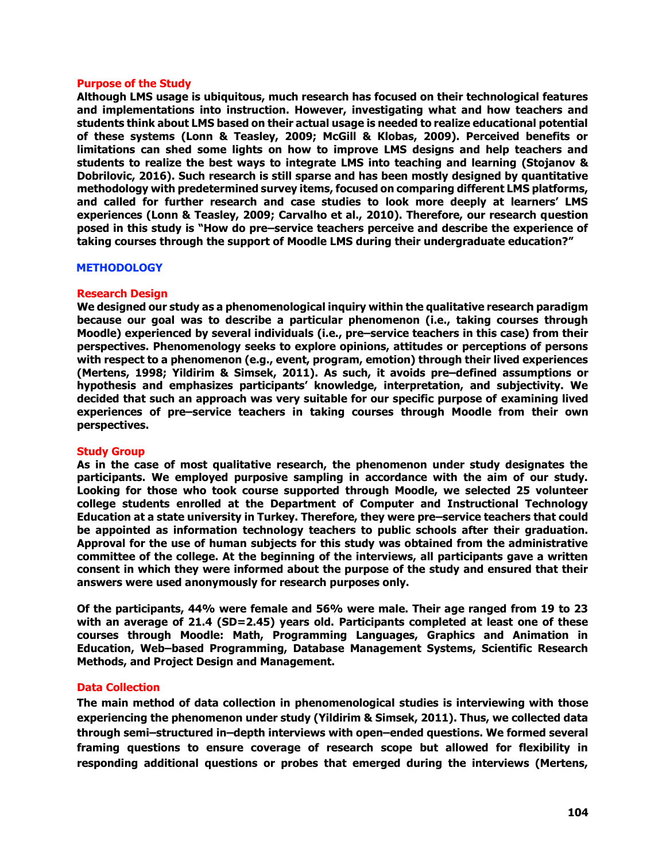### **Purpose of the Study**

**Although LMS usage is ubiquitous, much research has focused on their technological features and implementations into instruction. However, investigating what and how teachers and students think about LMS based on their actual usage is needed to realize educational potential of these systems (Lonn & Teasley, 2009; McGill & Klobas, 2009). Perceived benefits or limitations can shed some lights on how to improve LMS designs and help teachers and students to realize the best ways to integrate LMS into teaching and learning (Stojanov & Dobrilovic, 2016). Such research is still sparse and has been mostly designed by quantitative methodology with predetermined survey items, focused on comparing different LMS platforms, and called for further research and case studies to look more deeply at learners' LMS experiences (Lonn & Teasley, 2009; Carvalho et al., 2010). Therefore, our research question posed in this study is "How do pre–service teachers perceive and describe the experience of taking courses through the support of Moodle LMS during their undergraduate education?"**

#### **METHODOLOGY**

## **Research Design**

**We designed our study as a phenomenological inquiry within the qualitative research paradigm because our goal was to describe a particular phenomenon (i.e., taking courses through Moodle) experienced by several individuals (i.e., pre–service teachers in this case) from their perspectives. Phenomenology seeks to explore opinions, attitudes or perceptions of persons with respect to a phenomenon (e.g., event, program, emotion) through their lived experiences (Mertens, 1998; Yildirim & Simsek, 2011). As such, it avoids pre–defined assumptions or hypothesis and emphasizes participants' knowledge, interpretation, and subjectivity. We decided that such an approach was very suitable for our specific purpose of examining lived experiences of pre–service teachers in taking courses through Moodle from their own perspectives.**

## **Study Group**

**As in the case of most qualitative research, the phenomenon under study designates the participants. We employed purposive sampling in accordance with the aim of our study. Looking for those who took course supported through Moodle, we selected 25 volunteer college students enrolled at the Department of Computer and Instructional Technology Education at a state university in Turkey. Therefore, they were pre–service teachers that could be appointed as information technology teachers to public schools after their graduation. Approval for the use of human subjects for this study was obtained from the administrative committee of the college. At the beginning of the interviews, all participants gave a written consent in which they were informed about the purpose of the study and ensured that their answers were used anonymously for research purposes only.**

**Of the participants, 44% were female and 56% were male. Their age ranged from 19 to 23 with an average of 21.4 (SD=2.45) years old. Participants completed at least one of these courses through Moodle: Math, Programming Languages, Graphics and Animation in Education, Web–based Programming, Database Management Systems, Scientific Research Methods, and Project Design and Management.** 

## **Data Collection**

**The main method of data collection in phenomenological studies is interviewing with those experiencing the phenomenon under study (Yildirim & Simsek, 2011). Thus, we collected data through semi–structured in–depth interviews with open–ended questions. We formed several framing questions to ensure coverage of research scope but allowed for flexibility in responding additional questions or probes that emerged during the interviews (Mertens,**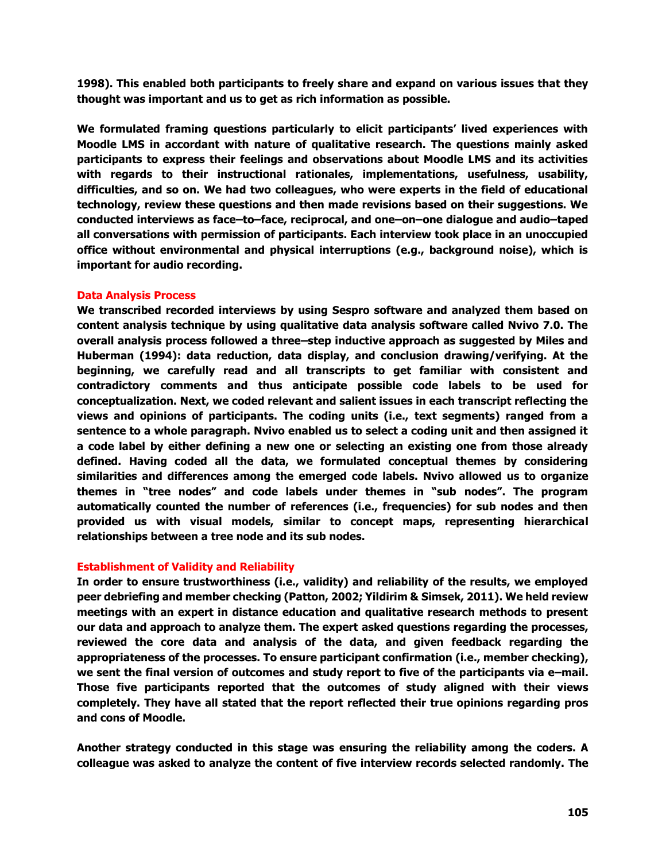**1998). This enabled both participants to freely share and expand on various issues that they thought was important and us to get as rich information as possible.**

**We formulated framing questions particularly to elicit participants' lived experiences with Moodle LMS in accordant with nature of qualitative research. The questions mainly asked participants to express their feelings and observations about Moodle LMS and its activities with regards to their instructional rationales, implementations, usefulness, usability, difficulties, and so on. We had two colleagues, who were experts in the field of educational technology, review these questions and then made revisions based on their suggestions. We conducted interviews as face–to–face, reciprocal, and one–on–one dialogue and audio–taped all conversations with permission of participants. Each interview took place in an unoccupied office without environmental and physical interruptions (e.g., background noise), which is important for audio recording.**

# **Data Analysis Process**

**We transcribed recorded interviews by using Sespro software and analyzed them based on content analysis technique by using qualitative data analysis software called Nvivo 7.0. The overall analysis process followed a three–step inductive approach as suggested by Miles and Huberman (1994): data reduction, data display, and conclusion drawing/verifying. At the beginning, we carefully read and all transcripts to get familiar with consistent and contradictory comments and thus anticipate possible code labels to be used for conceptualization. Next, we coded relevant and salient issues in each transcript reflecting the views and opinions of participants. The coding units (i.e., text segments) ranged from a sentence to a whole paragraph. Nvivo enabled us to select a coding unit and then assigned it a code label by either defining a new one or selecting an existing one from those already defined. Having coded all the data, we formulated conceptual themes by considering similarities and differences among the emerged code labels. Nvivo allowed us to organize themes in "tree nodes" and code labels under themes in "sub nodes". The program automatically counted the number of references (i.e., frequencies) for sub nodes and then provided us with visual models, similar to concept maps, representing hierarchical relationships between a tree node and its sub nodes.**

# **Establishment of Validity and Reliability**

**In order to ensure trustworthiness (i.e., validity) and reliability of the results, we employed peer debriefing and member checking (Patton, 2002; Yildirim & Simsek, 2011). We held review meetings with an expert in distance education and qualitative research methods to present our data and approach to analyze them. The expert asked questions regarding the processes, reviewed the core data and analysis of the data, and given feedback regarding the appropriateness of the processes. To ensure participant confirmation (i.e., member checking), we sent the final version of outcomes and study report to five of the participants via e–mail. Those five participants reported that the outcomes of study aligned with their views completely. They have all stated that the report reflected their true opinions regarding pros and cons of Moodle.** 

**Another strategy conducted in this stage was ensuring the reliability among the coders. A colleague was asked to analyze the content of five interview records selected randomly. The**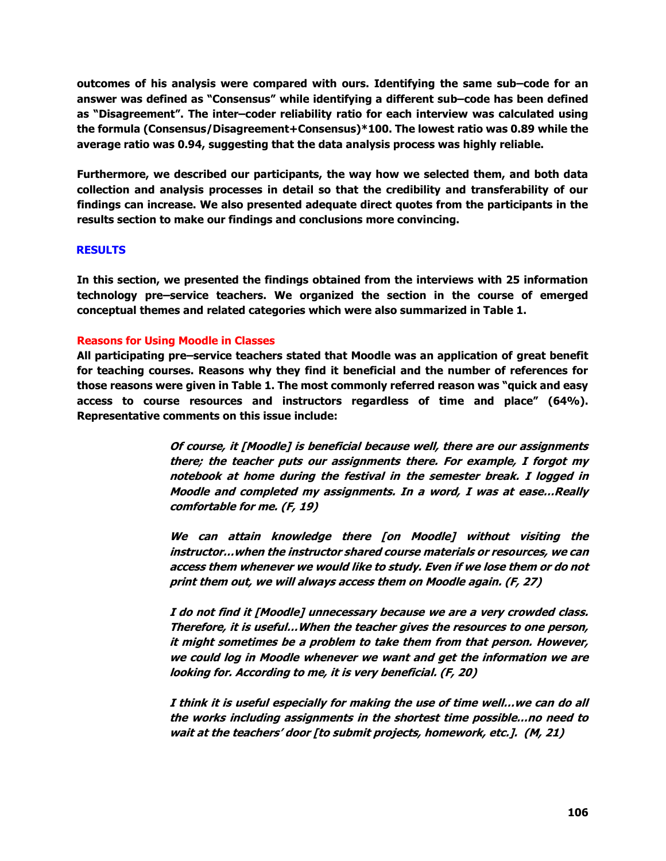**outcomes of his analysis were compared with ours. Identifying the same sub–code for an answer was defined as "Consensus" while identifying a different sub–code has been defined as "Disagreement". The inter–coder reliability ratio for each interview was calculated using the formula (Consensus/Disagreement+Consensus)\*100. The lowest ratio was 0.89 while the average ratio was 0.94, suggesting that the data analysis process was highly reliable.**

**Furthermore, we described our participants, the way how we selected them, and both data collection and analysis processes in detail so that the credibility and transferability of our findings can increase. We also presented adequate direct quotes from the participants in the results section to make our findings and conclusions more convincing.**

# **RESULTS**

**In this section, we presented the findings obtained from the interviews with 25 information technology pre–service teachers. We organized the section in the course of emerged conceptual themes and related categories which were also summarized in Table 1.**

# **Reasons for Using Moodle in Classes**

**All participating pre–service teachers stated that Moodle was an application of great benefit for teaching courses. Reasons why they find it beneficial and the number of references for those reasons were given in Table 1. The most commonly referred reason was "quick and easy access to course resources and instructors regardless of time and place" (64%). Representative comments on this issue include:**

> **Of course, it [Moodle] is beneficial because well, there are our assignments there; the teacher puts our assignments there. For example, I forgot my notebook at home during the festival in the semester break. I logged in Moodle and completed my assignments. In a word, I was at ease…Really comfortable for me. (F, 19)**

> **We can attain knowledge there [on Moodle] without visiting the instructor…when the instructor shared course materials or resources, we can access them whenever we would like to study. Even if we lose them or do not print them out, we will always access them on Moodle again. (F, 27)**

> **I do not find it [Moodle] unnecessary because we are a very crowded class. Therefore, it is useful…When the teacher gives the resources to one person, it might sometimes be a problem to take them from that person. However, we could log in Moodle whenever we want and get the information we are looking for. According to me, it is very beneficial. (F, 20)**

> **I think it is useful especially for making the use of time well…we can do all the works including assignments in the shortest time possible…no need to wait at the teachers' door [to submit projects, homework, etc.]. (M, 21)**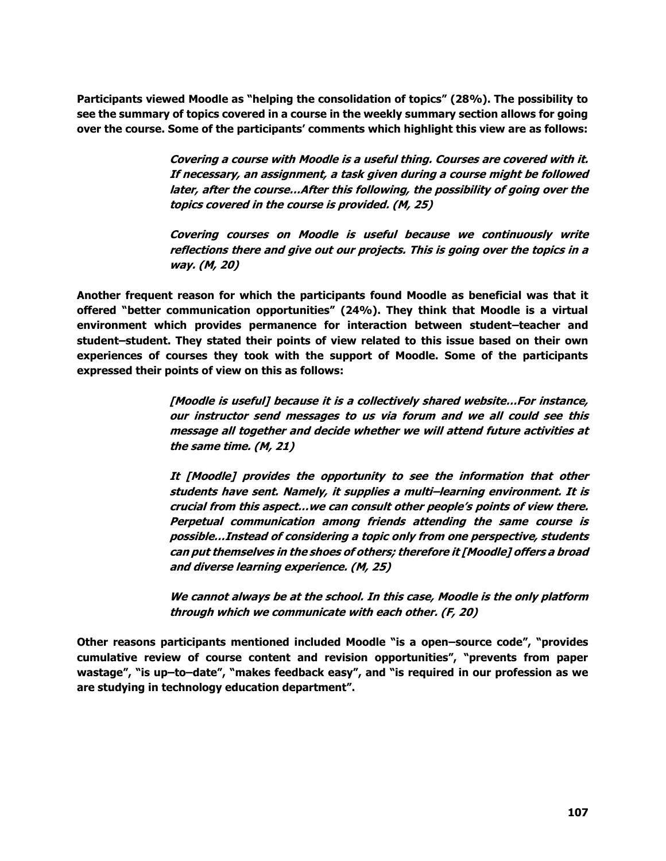**Participants viewed Moodle as "helping the consolidation of topics" (28%). The possibility to see the summary of topics covered in a course in the weekly summary section allows for going over the course. Some of the participants' comments which highlight this view are as follows:**

> **Covering a course with Moodle is a useful thing. Courses are covered with it. If necessary, an assignment, a task given during a course might be followed later, after the course…After this following, the possibility of going over the topics covered in the course is provided. (M, 25)**

> **Covering courses on Moodle is useful because we continuously write reflections there and give out our projects. This is going over the topics in a way. (M, 20)**

**Another frequent reason for which the participants found Moodle as beneficial was that it offered "better communication opportunities" (24%). They think that Moodle is a virtual environment which provides permanence for interaction between student–teacher and student–student. They stated their points of view related to this issue based on their own experiences of courses they took with the support of Moodle. Some of the participants expressed their points of view on this as follows:**

> **[Moodle is useful] because it is a collectively shared website…For instance, our instructor send messages to us via forum and we all could see this message all together and decide whether we will attend future activities at the same time. (M, 21)**

> **It [Moodle] provides the opportunity to see the information that other students have sent. Namely, it supplies a multi–learning environment. It is crucial from this aspect…we can consult other people's points of view there. Perpetual communication among friends attending the same course is possible…Instead of considering a topic only from one perspective, students can put themselves in the shoes of others; therefore it [Moodle] offers a broad and diverse learning experience. (M, 25)**

> **We cannot always be at the school. In this case, Moodle is the only platform through which we communicate with each other. (F, 20)**

**Other reasons participants mentioned included Moodle "is a open–source code", "provides cumulative review of course content and revision opportunities", "prevents from paper wastage", "is up–to–date", "makes feedback easy", and "is required in our profession as we are studying in technology education department".**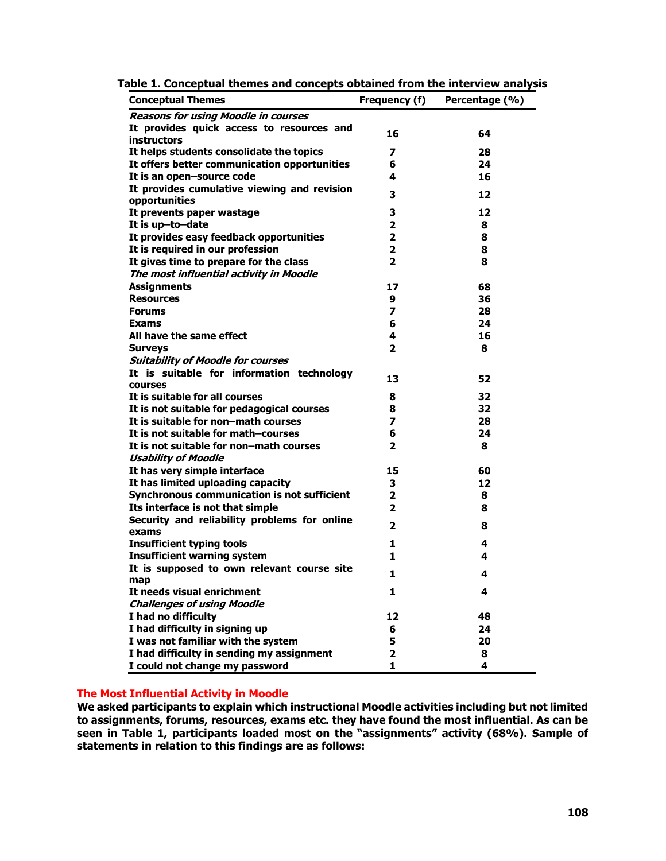| <b>Conceptual Themes</b>                                    | Frequency (f)           | Percentage (%) |
|-------------------------------------------------------------|-------------------------|----------------|
| <b>Reasons for using Moodle in courses</b>                  |                         |                |
| It provides quick access to resources and                   | 16                      | 64             |
| <b>instructors</b>                                          |                         |                |
| It helps students consolidate the topics                    | 7                       | 28             |
| It offers better communication opportunities                | 6                       | 24             |
| It is an open-source code                                   | 4                       | 16             |
| It provides cumulative viewing and revision                 | 3                       | 12             |
| opportunities                                               |                         |                |
| It prevents paper wastage                                   | 3                       | 12             |
| It is up-to-date                                            | 2                       | 8              |
| It provides easy feedback opportunities                     | 2                       | 8              |
| It is required in our profession                            | 2                       | 8              |
| It gives time to prepare for the class                      | $\mathbf{z}$            | 8              |
| The most influential activity in Moodle                     |                         |                |
| <b>Assignments</b>                                          | 17                      | 68             |
| <b>Resources</b>                                            | 9                       | 36             |
| <b>Forums</b>                                               | $\overline{\mathbf{z}}$ | 28             |
| <b>Exams</b>                                                | 6                       | 24             |
| All have the same effect                                    | 4                       | 16             |
| <b>Surveys</b>                                              | 2                       | 8              |
| <b>Suitability of Moodle for courses</b>                    |                         |                |
| It is suitable for information technology<br><b>courses</b> | 13                      | 52             |
| It is suitable for all courses                              | 8                       | 32             |
| It is not suitable for pedagogical courses                  | 8                       | 32             |
| It is suitable for non-math courses                         | 7                       | 28             |
| It is not suitable for math-courses                         | 6                       | 24             |
| It is not suitable for non-math courses                     | 2                       | 8              |
| <b>Usability of Moodle</b>                                  |                         |                |
| It has very simple interface                                | 15                      | 60             |
| It has limited uploading capacity                           | 3                       | 12             |
| Synchronous communication is not sufficient                 | $\mathbf{2}$            | 8              |
| Its interface is not that simple                            | $\overline{2}$          | 8              |
| Security and reliability problems for online<br>exams       | 2                       | 8              |
| <b>Insufficient typing tools</b>                            | 1                       | 4              |
| <b>Insufficient warning system</b>                          | 1                       | 4              |
| It is supposed to own relevant course site                  |                         |                |
|                                                             | 1                       | 4              |
| It needs visual enrichment                                  | 1                       | 4              |
| <b>Challenges of using Moodle</b>                           |                         |                |
| I had no difficulty                                         | 12                      | 48             |
| I had difficulty in signing up                              | 6                       | 24             |
| I was not familiar with the system                          | 5                       | 20             |
| I had difficulty in sending my assignment                   | 2                       | 8              |
| I could not change my password                              | 1                       | 4              |

**Table 1. Conceptual themes and concepts obtained from the interview analysis**

# **The Most Influential Activity in Moodle**

**We asked participants to explain which instructional Moodle activities including but not limited to assignments, forums, resources, exams etc. they have found the most influential. As can be seen in Table 1, participants loaded most on the "assignments" activity (68%). Sample of statements in relation to this findings are as follows:**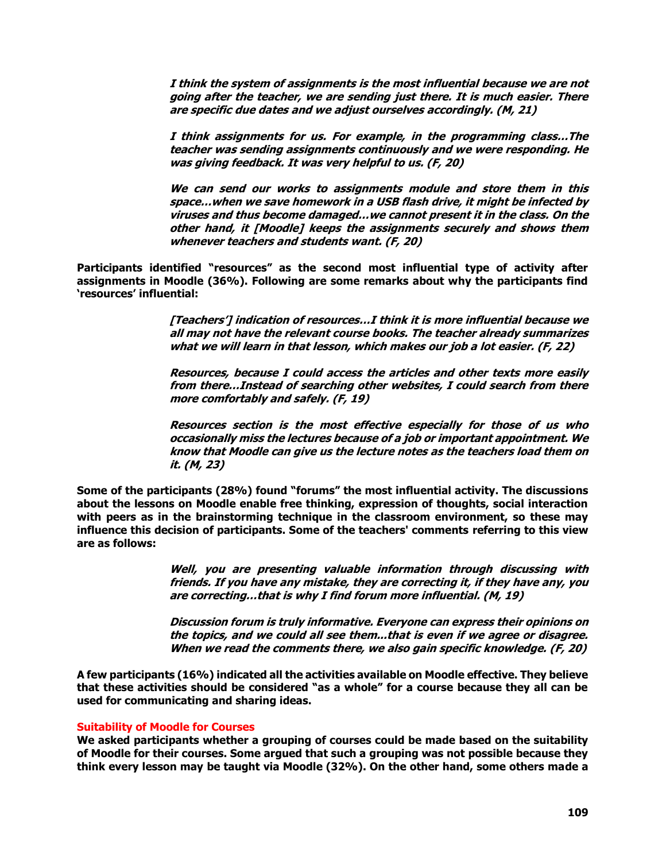**I think the system of assignments is the most influential because we are not going after the teacher, we are sending just there. It is much easier. There are specific due dates and we adjust ourselves accordingly. (M, 21)**

**I think assignments for us. For example, in the programming class…The teacher was sending assignments continuously and we were responding. He was giving feedback. It was very helpful to us. (F, 20)**

**We can send our works to assignments module and store them in this space…when we save homework in a USB flash drive, it might be infected by viruses and thus become damaged…we cannot present it in the class. On the other hand, it [Moodle] keeps the assignments securely and shows them whenever teachers and students want. (F, 20)**

**Participants identified "resources" as the second most influential type of activity after assignments in Moodle (36%). Following are some remarks about why the participants find 'resources' influential:**

> **[Teachers'] indication of resources…I think it is more influential because we all may not have the relevant course books. The teacher already summarizes what we will learn in that lesson, which makes our job a lot easier. (F, 22)**

> **Resources, because I could access the articles and other texts more easily from there…Instead of searching other websites, I could search from there more comfortably and safely. (F, 19)**

> **Resources section is the most effective especially for those of us who occasionally miss the lectures because of a job or important appointment. We know that Moodle can give us the lecture notes as the teachers load them on it. (M, 23)**

**Some of the participants (28%) found "forums" the most influential activity. The discussions about the lessons on Moodle enable free thinking, expression of thoughts, social interaction with peers as in the brainstorming technique in the classroom environment, so these may influence this decision of participants. Some of the teachers' comments referring to this view are as follows:**

> **Well, you are presenting valuable information through discussing with friends. If you have any mistake, they are correcting it, if they have any, you are correcting…that is why I find forum more influential. (M, 19)**

> **Discussion forum is truly informative. Everyone can express their opinions on the topics, and we could all see them...that is even if we agree or disagree. When we read the comments there, we also gain specific knowledge. (F, 20)**

**A few participants (16%) indicated all the activities available on Moodle effective. They believe that these activities should be considered "as a whole" for a course because they all can be used for communicating and sharing ideas.**

## **Suitability of Moodle for Courses**

**We asked participants whether a grouping of courses could be made based on the suitability of Moodle for their courses. Some argued that such a grouping was not possible because they think every lesson may be taught via Moodle (32%). On the other hand, some others made a**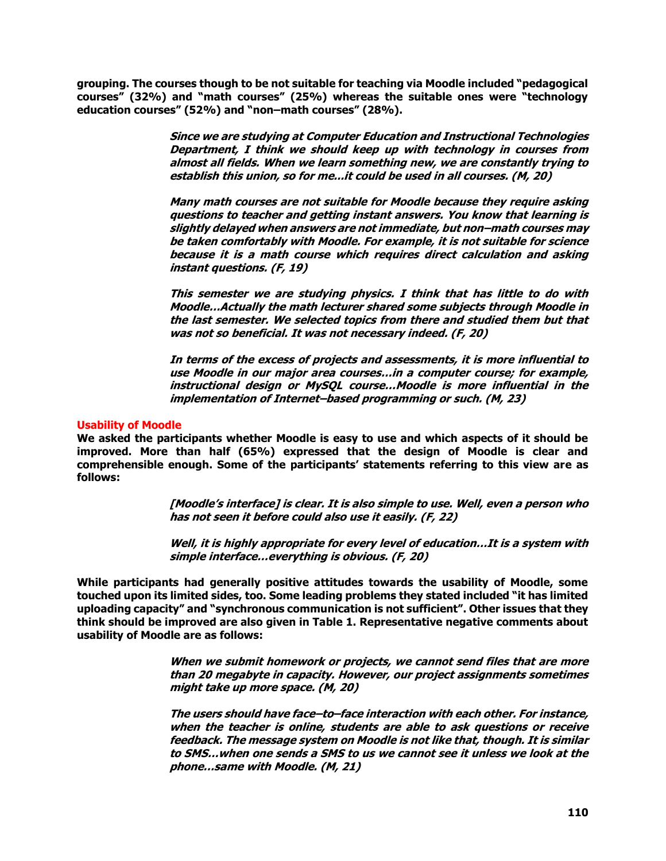**grouping. The courses though to be not suitable for teaching via Moodle included "pedagogical courses" (32%) and "math courses" (25%) whereas the suitable ones were "technology education courses" (52%) and "non–math courses" (28%).**

> **Since we are studying at Computer Education and Instructional Technologies Department, I think we should keep up with technology in courses from almost all fields. When we learn something new, we are constantly trying to establish this union, so for me...it could be used in all courses. (M, 20)**

> **Many math courses are not suitable for Moodle because they require asking questions to teacher and getting instant answers. You know that learning is slightly delayed when answers are not immediate, but non–math courses may be taken comfortably with Moodle. For example, it is not suitable for science because it is a math course which requires direct calculation and asking instant questions. (F, 19)**

> **This semester we are studying physics. I think that has little to do with Moodle…Actually the math lecturer shared some subjects through Moodle in the last semester. We selected topics from there and studied them but that was not so beneficial. It was not necessary indeed. (F, 20)**

> **In terms of the excess of projects and assessments, it is more influential to use Moodle in our major area courses…in a computer course; for example, instructional design or MySQL course…Moodle is more influential in the implementation of Internet–based programming or such. (M, 23)**

# **Usability of Moodle**

**We asked the participants whether Moodle is easy to use and which aspects of it should be improved. More than half (65%) expressed that the design of Moodle is clear and comprehensible enough. Some of the participants' statements referring to this view are as follows:** 

> **[Moodle's interface] is clear. It is also simple to use. Well, even a person who has not seen it before could also use it easily. (F, 22)**

> **Well, it is highly appropriate for every level of education…It is a system with simple interface…everything is obvious. (F, 20)**

**While participants had generally positive attitudes towards the usability of Moodle, some touched upon its limited sides, too. Some leading problems they stated included "it has limited uploading capacity" and "synchronous communication is not sufficient". Other issues that they think should be improved are also given in Table 1. Representative negative comments about usability of Moodle are as follows:**

> **When we submit homework or projects, we cannot send files that are more than 20 megabyte in capacity. However, our project assignments sometimes might take up more space. (M, 20)**

> **The users should have face–to–face interaction with each other. For instance, when the teacher is online, students are able to ask questions or receive feedback. The message system on Moodle is not like that, though. It is similar to SMS…when one sends a SMS to us we cannot see it unless we look at the phone…same with Moodle. (M, 21)**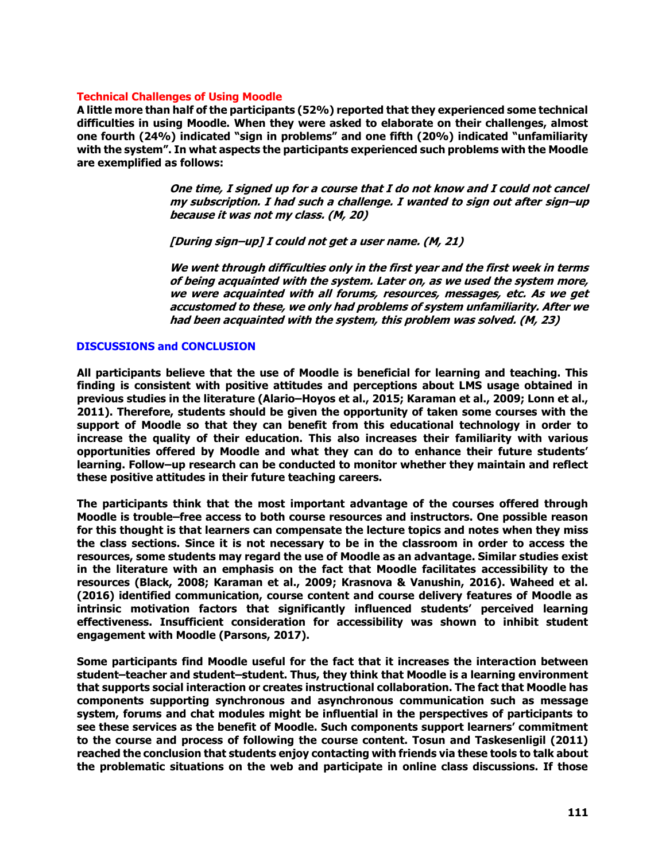### **Technical Challenges of Using Moodle**

**A little more than half of the participants (52%) reported that they experienced some technical difficulties in using Moodle. When they were asked to elaborate on their challenges, almost one fourth (24%) indicated "sign in problems" and one fifth (20%) indicated "unfamiliarity with the system". In what aspects the participants experienced such problems with the Moodle are exemplified as follows:**

> **One time, I signed up for a course that I do not know and I could not cancel my subscription. I had such a challenge. I wanted to sign out after sign–up because it was not my class. (M, 20)**

**[During sign–up] I could not get a user name. (M, 21)**

**We went through difficulties only in the first year and the first week in terms of being acquainted with the system. Later on, as we used the system more, we were acquainted with all forums, resources, messages, etc. As we get accustomed to these, we only had problems of system unfamiliarity. After we had been acquainted with the system, this problem was solved. (M, 23)**

## **DISCUSSIONS and CONCLUSION**

**All participants believe that the use of Moodle is beneficial for learning and teaching. This finding is consistent with positive attitudes and perceptions about LMS usage obtained in previous studies in the literature (Alario–Hoyos et al., 2015; Karaman et al., 2009; Lonn et al., 2011). Therefore, students should be given the opportunity of taken some courses with the support of Moodle so that they can benefit from this educational technology in order to increase the quality of their education. This also increases their familiarity with various opportunities offered by Moodle and what they can do to enhance their future students' learning. Follow–up research can be conducted to monitor whether they maintain and reflect these positive attitudes in their future teaching careers.** 

**The participants think that the most important advantage of the courses offered through Moodle is trouble–free access to both course resources and instructors. One possible reason for this thought is that learners can compensate the lecture topics and notes when they miss the class sections. Since it is not necessary to be in the classroom in order to access the resources, some students may regard the use of Moodle as an advantage. Similar studies exist in the literature with an emphasis on the fact that Moodle facilitates accessibility to the resources (Black, 2008; Karaman et al., 2009; Krasnova & Vanushin, 2016). Waheed et al. (2016) identified communication, course content and course delivery features of Moodle as intrinsic motivation factors that significantly influenced students' perceived learning effectiveness. Insufficient consideration for accessibility was shown to inhibit student engagement with Moodle (Parsons, 2017).**

**Some participants find Moodle useful for the fact that it increases the interaction between student–teacher and student–student. Thus, they think that Moodle is a learning environment that supports social interaction or creates instructional collaboration. The fact that Moodle has components supporting synchronous and asynchronous communication such as message system, forums and chat modules might be influential in the perspectives of participants to see these services as the benefit of Moodle. Such components support learners' commitment to the course and process of following the course content. Tosun and Taskesenligil (2011) reached the conclusion that students enjoy contacting with friends via these tools to talk about the problematic situations on the web and participate in online class discussions. If those**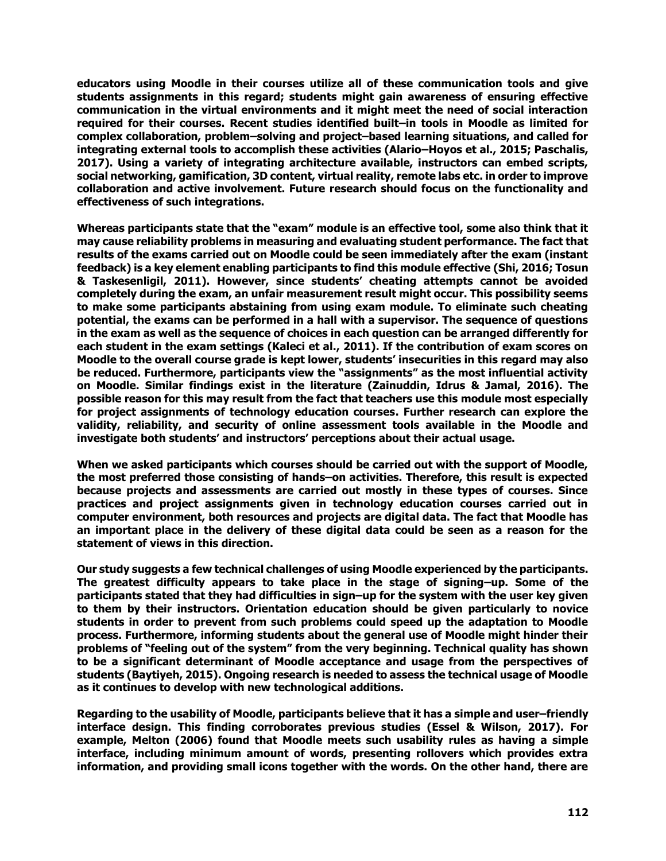**educators using Moodle in their courses utilize all of these communication tools and give students assignments in this regard; students might gain awareness of ensuring effective communication in the virtual environments and it might meet the need of social interaction required for their courses. Recent studies identified built–in tools in Moodle as limited for complex collaboration, problem–solving and project–based learning situations, and called for integrating external tools to accomplish these activities (Alario–Hoyos et al., 2015; Paschalis, 2017). Using a variety of integrating architecture available, instructors can embed scripts, social networking, gamification, 3D content, virtual reality, remote labs etc. in order to improve collaboration and active involvement. Future research should focus on the functionality and effectiveness of such integrations.** 

**Whereas participants state that the "exam" module is an effective tool, some also think that it may cause reliability problems in measuring and evaluating student performance. The fact that results of the exams carried out on Moodle could be seen immediately after the exam (instant feedback) is a key element enabling participants to find this module effective (Shi, 2016; Tosun & Taskesenligil, 2011). However, since students' cheating attempts cannot be avoided completely during the exam, an unfair measurement result might occur. This possibility seems to make some participants abstaining from using exam module. To eliminate such cheating potential, the exams can be performed in a hall with a supervisor. The sequence of questions in the exam as well as the sequence of choices in each question can be arranged differently for each student in the exam settings (Kaleci et al., 2011). If the contribution of exam scores on Moodle to the overall course grade is kept lower, students' insecurities in this regard may also be reduced. Furthermore, participants view the "assignments" as the most influential activity on Moodle. Similar findings exist in the literature (Zainuddin, Idrus & Jamal, 2016). The possible reason for this may result from the fact that teachers use this module most especially for project assignments of technology education courses. Further research can explore the validity, reliability, and security of online assessment tools available in the Moodle and investigate both students' and instructors' perceptions about their actual usage.** 

**When we asked participants which courses should be carried out with the support of Moodle, the most preferred those consisting of hands–on activities. Therefore, this result is expected because projects and assessments are carried out mostly in these types of courses. Since practices and project assignments given in technology education courses carried out in computer environment, both resources and projects are digital data. The fact that Moodle has an important place in the delivery of these digital data could be seen as a reason for the statement of views in this direction.** 

**Our study suggests a few technical challenges of using Moodle experienced by the participants. The greatest difficulty appears to take place in the stage of signing–up. Some of the participants stated that they had difficulties in sign–up for the system with the user key given to them by their instructors. Orientation education should be given particularly to novice students in order to prevent from such problems could speed up the adaptation to Moodle process. Furthermore, informing students about the general use of Moodle might hinder their problems of "feeling out of the system" from the very beginning. Technical quality has shown to be a significant determinant of Moodle acceptance and usage from the perspectives of students (Baytiyeh, 2015). Ongoing research is needed to assess the technical usage of Moodle as it continues to develop with new technological additions.**

**Regarding to the usability of Moodle, participants believe that it has a simple and user–friendly interface design. This finding corroborates previous studies (Essel & Wilson, 2017). For example, Melton (2006) found that Moodle meets such usability rules as having a simple interface, including minimum amount of words, presenting rollovers which provides extra information, and providing small icons together with the words. On the other hand, there are**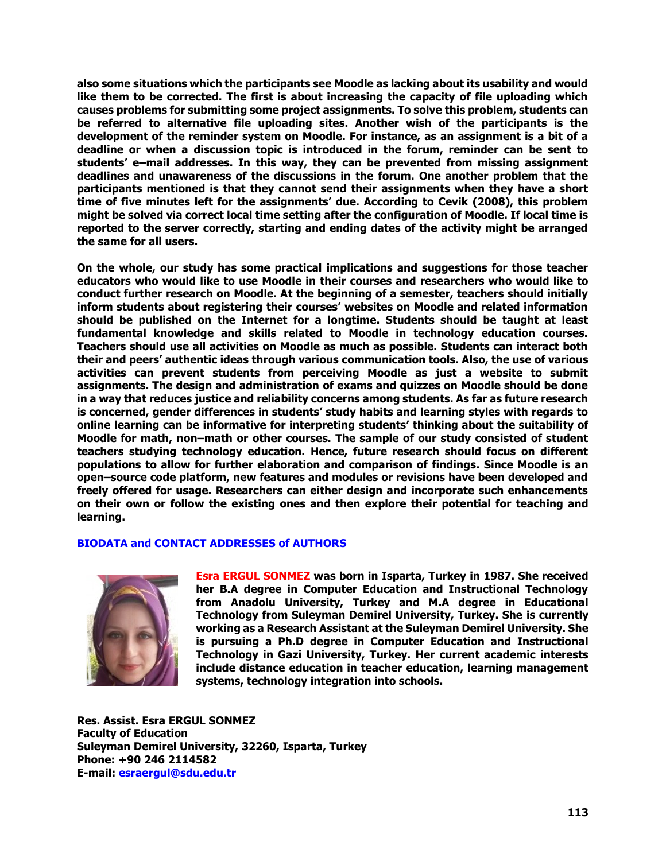**also some situations which the participants see Moodle as lacking about its usability and would like them to be corrected. The first is about increasing the capacity of file uploading which causes problems for submitting some project assignments. To solve this problem, students can be referred to alternative file uploading sites. Another wish of the participants is the development of the reminder system on Moodle. For instance, as an assignment is a bit of a deadline or when a discussion topic is introduced in the forum, reminder can be sent to students' e–mail addresses. In this way, they can be prevented from missing assignment deadlines and unawareness of the discussions in the forum. One another problem that the participants mentioned is that they cannot send their assignments when they have a short time of five minutes left for the assignments' due. According to Cevik (2008), this problem might be solved via correct local time setting after the configuration of Moodle. If local time is reported to the server correctly, starting and ending dates of the activity might be arranged the same for all users.**

**On the whole, our study has some practical implications and suggestions for those teacher educators who would like to use Moodle in their courses and researchers who would like to conduct further research on Moodle. At the beginning of a semester, teachers should initially inform students about registering their courses' websites on Moodle and related information should be published on the Internet for a longtime. Students should be taught at least fundamental knowledge and skills related to Moodle in technology education courses. Teachers should use all activities on Moodle as much as possible. Students can interact both their and peers' authentic ideas through various communication tools. Also, the use of various activities can prevent students from perceiving Moodle as just a website to submit assignments. The design and administration of exams and quizzes on Moodle should be done in a way that reduces justice and reliability concerns among students. As far as future research is concerned, gender differences in students' study habits and learning styles with regards to online learning can be informative for interpreting students' thinking about the suitability of Moodle for math, non–math or other courses. The sample of our study consisted of student teachers studying technology education. Hence, future research should focus on different populations to allow for further elaboration and comparison of findings. Since Moodle is an open–source code platform, new features and modules or revisions have been developed and freely offered for usage. Researchers can either design and incorporate such enhancements on their own or follow the existing ones and then explore their potential for teaching and learning.** 

## **BIODATA and CONTACT ADDRESSES of AUTHORS**



**Esra ERGUL SONMEZ was born in Isparta, Turkey in 1987. She received her B.A degree in Computer Education and Instructional Technology from Anadolu University, Turkey and M.A degree in Educational Technology from Suleyman Demirel University, Turkey. She is currently working as a Research Assistant at the Suleyman Demirel University. She is pursuing a Ph.D degree in Computer Education and Instructional Technology in Gazi University, Turkey. Her current academic interests include distance education in teacher education, learning management systems, technology integration into schools.**

**Res. Assist. Esra ERGUL SONMEZ Faculty of Education Suleyman Demirel University, 32260, Isparta, Turkey Phone: +90 246 2114582 E-mail: [esraergul@sdu.edu.tr](mailto:esraergul@sdu.edu.tr)**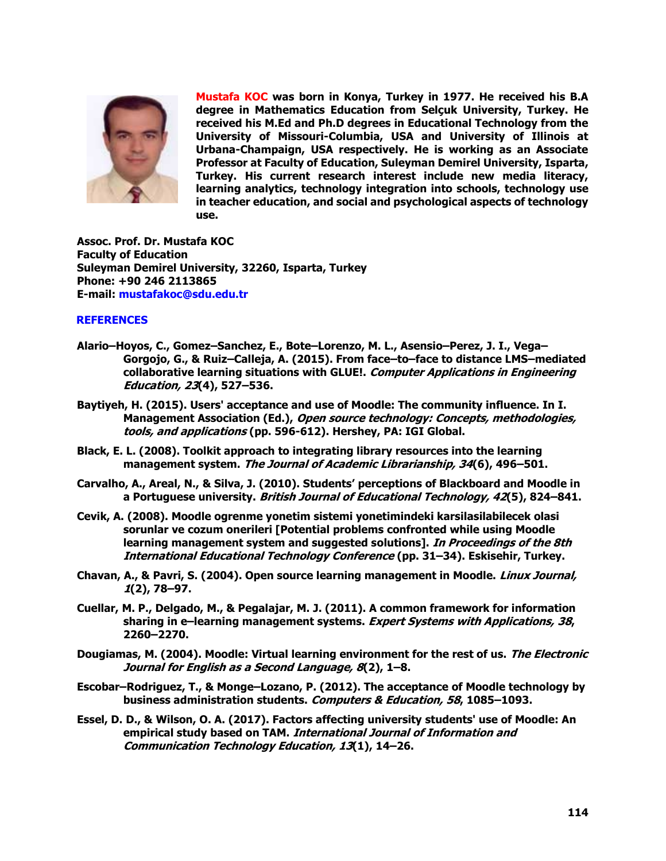

**Mustafa KOC was born in Konya, Turkey in 1977. He received his B.A degree in Mathematics Education from Selçuk University, Turkey. He received his M.Ed and Ph.D degrees in Educational Technology from the University of Missouri-Columbia, USA and University of Illinois at Urbana-Champaign, USA respectively. He is working as an Associate Professor at Faculty of Education, Suleyman Demirel University, Isparta, Turkey. His current research interest include new media literacy, learning analytics, technology integration into schools, technology use in teacher education, and social and psychological aspects of technology use.**

**Assoc. Prof. Dr. Mustafa KOC Faculty of Education Suleyman Demirel University, 32260, Isparta, Turkey Phone: +90 246 2113865 E-mail: [mustafakoc@sdu.edu.tr](mailto:mustafakoc@sdu.edu.tr)**

# **REFERENCES**

- **Alario–Hoyos, C., Gomez–Sanchez, E., Bote–Lorenzo, M. L., Asensio–Perez, J. I., Vega– Gorgojo, G., & Ruiz–Calleja, A. (2015). From face–to–face to distance LMS–mediated collaborative learning situations with GLUE!. Computer Applications in Engineering Education, 23(4), 527–536.**
- **Baytiyeh, H. (2015). Users' acceptance and use of Moodle: The community influence. In I. Management Association (Ed.), Open source technology: Concepts, methodologies, tools, and applications (pp. 596-612). Hershey, PA: IGI Global.**
- **Black, E. L. (2008). Toolkit approach to integrating library resources into the learning management system. The Journal of Academic Librarianship, 34(6), 496–501.**
- **Carvalho, A., Areal, N., & Silva, J. (2010). Students' perceptions of Blackboard and Moodle in a Portuguese university. British Journal of Educational Technology, 42(5), 824–841.**
- **Cevik, A. (2008). Moodle ogrenme yonetim sistemi yonetimindeki karsilasilabilecek olasi sorunlar ve cozum onerileri [Potential problems confronted while using Moodle learning management system and suggested solutions]. In Proceedings of the 8th International Educational Technology Conference (pp. 31–34). Eskisehir, Turkey.**
- **Chavan, A., & Pavri, S. (2004). Open source learning management in Moodle. Linux Journal, 1(2), 78–97.**
- **Cuellar, M. P., Delgado, M., & Pegalajar, M. J. (2011). A common framework for information sharing in e–learning management systems. Expert Systems with Applications, 38, 2260–2270.**
- **Dougiamas, M. (2004). Moodle: Virtual learning environment for the rest of us. The Electronic Journal for English as a Second Language, 8(2), 1–8.**
- **Escobar–Rodriguez, T., & Monge–Lozano, P. (2012). The acceptance of Moodle technology by business administration students. Computers & Education, 58, 1085–1093.**
- **Essel, D. D., & Wilson, O. A. (2017). Factors affecting university students' use of Moodle: An empirical study based on TAM. International Journal of Information and Communication Technology Education, 13(1), 14–26.**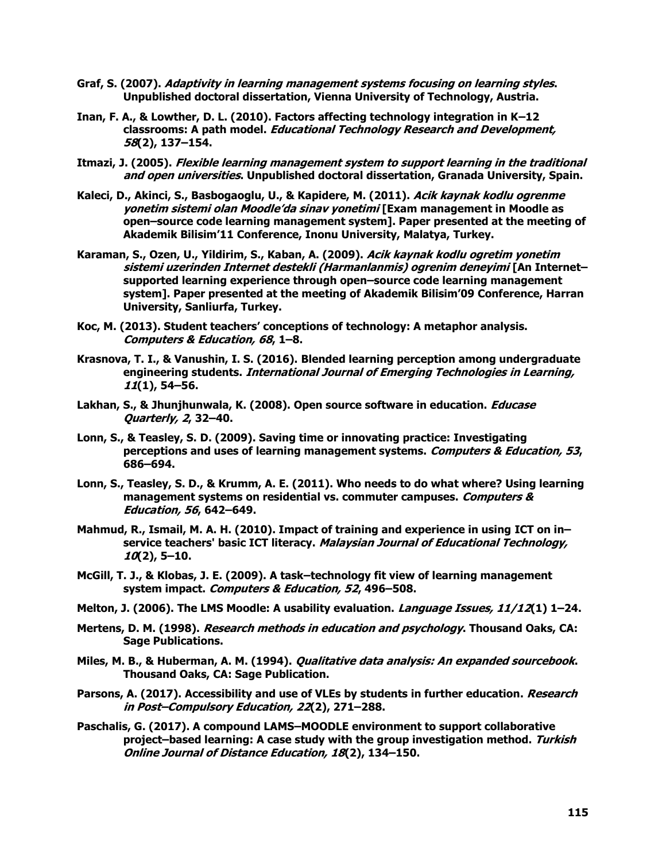- **Graf, S. (2007). Adaptivity in learning management systems focusing on learning styles. Unpublished doctoral dissertation, Vienna University of Technology, Austria.**
- **Inan, F. A., & Lowther, D. L. (2010). Factors affecting technology integration in K–12 classrooms: A path model. Educational Technology Research and Development, 58(2), 137–154.**
- **Itmazi, J. (2005). Flexible learning management system to support learning in the traditional and open universities. Unpublished doctoral dissertation, Granada University, Spain.**
- **Kaleci, D., Akinci, S., Basbogaoglu, U., & Kapidere, M. (2011). Acik kaynak kodlu ogrenme yonetim sistemi olan Moodle'da sinav yonetimi [Exam management in Moodle as open–source code learning management system]. Paper presented at the meeting of Akademik Bilisim'11 Conference, Inonu University, Malatya, Turkey.**
- **Karaman, S., Ozen, U., Yildirim, S., Kaban, A. (2009). Acik kaynak kodlu ogretim yonetim sistemi uzerinden Internet destekli (Harmanlanmis) ogrenim deneyimi [An Internet– supported learning experience through open–source code learning management system]. Paper presented at the meeting of Akademik Bilisim'09 Conference, Harran University, Sanliurfa, Turkey.**
- **Koc, M. (2013). Student teachers' conceptions of technology: A metaphor analysis. Computers & Education, 68, 1–8.**
- **Krasnova, T. I., & Vanushin, I. S. (2016). Blended learning perception among undergraduate engineering students. [International Journal of Emerging Technologies in Learning,](https://www.scopus.com/sourceid/21100197967?origin=resultslist) 11(1), 54–56.**
- **Lakhan, S., & Jhunjhunwala, K. (2008). Open source software in education. Educase Quarterly, 2, 32–40.**
- **Lonn, S., & Teasley, S. D. (2009). Saving time or innovating practice: Investigating perceptions and uses of learning management systems. Computers & Education, 53, 686–694.**
- **Lonn, S., Teasley, S. D., & Krumm, A. E. (2011). Who needs to do what where? Using learning management systems on residential vs. commuter campuses. Computers & Education, 56, 642–649.**
- **Mahmud, R., Ismail, M. A. H. (2010). Impact of training and experience in using ICT on in– service teachers' basic ICT literacy. Malaysian Journal of Educational Technology, 10(2), 5–10.**
- **McGill, T. J., & Klobas, J. E. (2009). A task–technology fit view of learning management system impact. Computers & Education, 52, 496–508.**
- **Melton, J. (2006). The LMS Moodle: A usability evaluation. Language Issues, 11/12(1) 1–24.**
- **Mertens, D. M. (1998). Research methods in education and psychology. Thousand Oaks, CA: Sage Publications.**
- **Miles, M. B., & Huberman, A. M. (1994). Qualitative data analysis: An expanded sourcebook. Thousand Oaks, CA: Sage Publication.**
- **Parsons, A. (2017). [Accessibility and use of VLEs by students in further education.](https://www.scopus.com/record/display.uri?eid=2-s2.0-85025106054&origin=resultslist&sort=plf-f&src=s&st1=moodle&nlo=&nlr=&nls=&sid=1d18123dcb63e9b74f7ef7c8ffaaeaae&sot=b&sdt=b&sl=40&s=TITLE-ABS-KEY%28moodle%29+AND+PUBYEAR+%3e+2012&relpos=40&citeCnt=0&searchTerm=) Research in Post–Compulsory Education, 22(2), 271–288.**
- **Paschalis, G. (2017). A compound LAMS–MOODLE environment to support collaborative project–based learning: A case study with the group investigation method. Turkish Online Journal of Distance Education, 18(2), 134–150.**